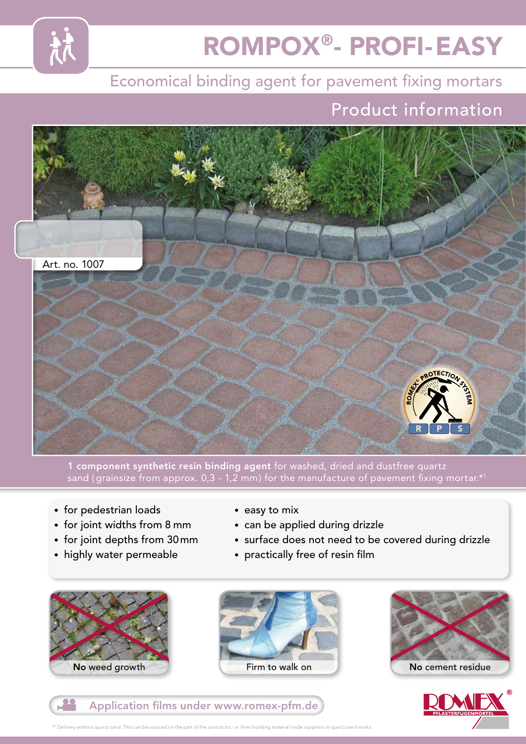

# ROMPOX<sup>®</sup>- PROFI-EASY

### Economical binding agent for pavement fixing mortars

## Product information



1 component synthetic resin binding agent for washed, dried and dustfree quartz sand (grainsize from approx. 0,3 - 1,2 mm) for the manufacture of pavement fixing mortar.\*1

- for pedestrian loads
- for joint widths from 8 mm
- for joint depths from 30mm
- highly water permeable
- easy to mix
- can be applied during drizzle
- surface does not need to be covered during drizzle
- practically free of resin film











\*1 Delivery without quartz sand. This can be sourced on the part of the contractor, i.e. from building material trade suppliers or quartz sand works.